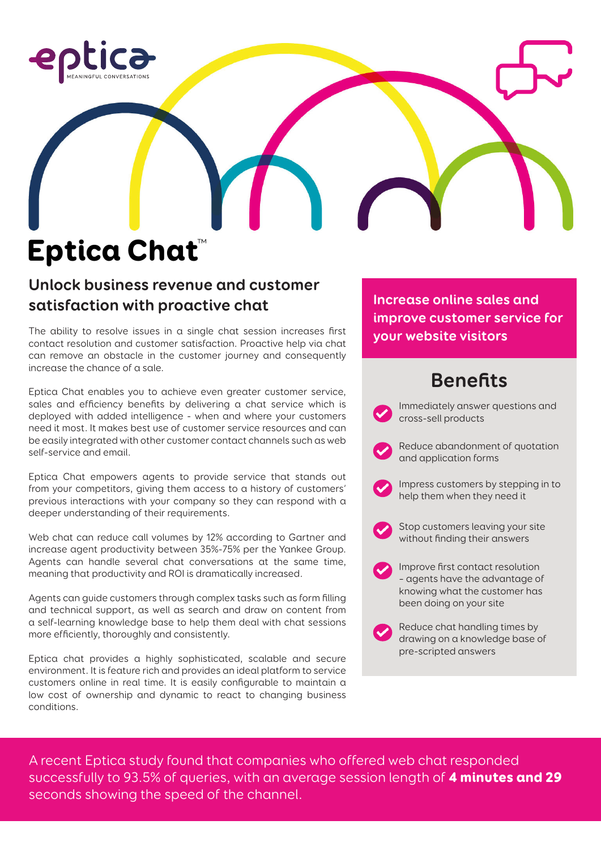

# Eptica Chat™

### **Unlock business revenue and customer satisfaction with proactive chat**

The ability to resolve issues in a single chat session increases first contact resolution and customer satisfaction. Proactive help via chat can remove an obstacle in the customer journey and consequently increase the chance of a sale.

Eptica Chat enables you to achieve even greater customer service, sales and efficiency benefits by delivering a chat service which is deployed with added intelligence - when and where your customers need it most. It makes best use of customer service resources and can be easily integrated with other customer contact channels such as web self-service and email.

Eptica Chat empowers agents to provide service that stands out from your competitors, giving them access to a history of customers' previous interactions with your company so they can respond with a deeper understanding of their requirements.

Web chat can reduce call volumes by 12% according to Gartner and increase agent productivity between 35%-75% per the Yankee Group. Agents can handle several chat conversations at the same time, meaning that productivity and ROI is dramatically increased.

Agents can guide customers through complex tasks such as form filling and technical support, as well as search and draw on content from a self-learning knowledge base to help them deal with chat sessions more efficiently, thoroughly and consistently.

Eptica chat provides a highly sophisticated, scalable and secure environment. It is feature rich and provides an ideal platform to service customers online in real time. It is easily configurable to maintain a low cost of ownership and dynamic to react to changing business conditions.

**Increase online sales and improve customer service for your website visitors**

## **Benefits**



- Reduce abandonment of quotation and application forms
- Impress customers by stepping in to help them when they need it
- Stop customers leaving your site without finding their answers
- Improve first contact resolution – agents have the advantage of knowing what the customer has been doing on your site
- Reduce chat handling times by drawing on a knowledge base of pre-scripted answers

A recent Eptica study found that companies who offered web chat responded successfully to 93.5% of queries, with an average session length of 4 minutes and 29 seconds showing the speed of the channel.